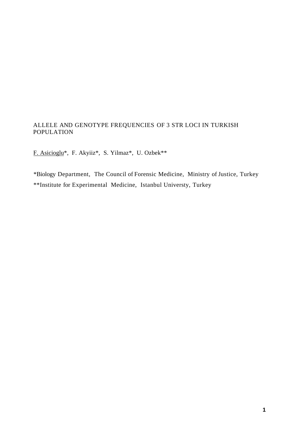## ALLELE AND GENOTYPE FREQUENCIES OF 3 STR LOCI IN TURKISH POPULATION

F. Asicioglu\*, F. Akyiiz\*, S. Yilmaz\*, U. Ozbek\*\*

\*Biology Department, The Council of Forensic Medicine, Ministry of Justice, Turkey \*\*Institute for Experimental Medicine, Istanbul Universty, Turkey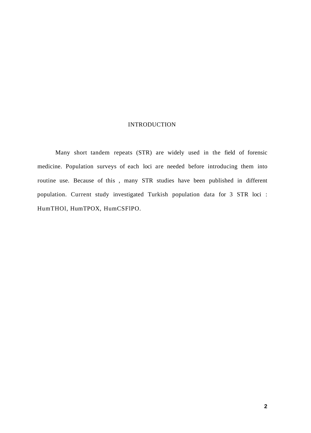## **INTRODUCTION**

Many short tandem repeats (STR) are widely used in the field of forensic medicine. Population surveys of each loci are needed before introducing them into routine use. Because of this , many STR studies have been published in different population. Current study investigated Turkish population data for 3 STR loci : HumTHOl, HumTPOX, HumCSFlPO.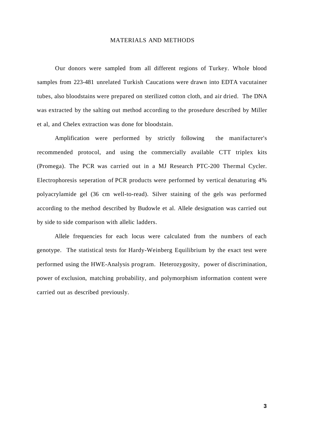## MATERIALS AND METHODS

Our donors were sampled from all different regions of Turkey. Whole blood samples from 223-481 unrelated Turkish Caucations were drawn into EDTA vacutainer tubes, also bloodstains were prepared on sterilized cotton cloth, and air dried. The DNA was extracted by the salting out method according to the prosedure described by Miller et al, and Chelex extraction was done for bloodstain.

Amplification were performed by strictly following the manifacturer's recommended protocol, and using the commercially available CTT triplex kits (Promega). The PCR was carried out in a MJ Research PTC-200 Thermal Cycler. Electrophoresis seperation of PCR products were performed by vertical denaturing 4% polyacrylamide gel (36 cm well-to-read). Silver staining of the gels was performed according to the method described by Budowle et al. Allele designation was carried out by side to side comparison with allelic ladders.

Allele frequencies for each locus were calculated from the numbers of each genotype. The statistical tests for Hardy-Weinberg Equilibrium by the exact test were performed using the HWE-Analysis program. Heterozygosity, power of discrimination, power of exclusion, matching probability, and polymorphism information content were carried out as described previously.

**3**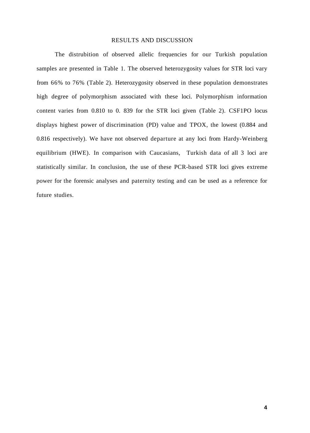### RESULTS AND DISCUSSION

The distrubition of observed allelic frequencies for our Turkish population samples are presented in Table 1. The observed heterozygosity values for STR loci vary from 66% to 76% (Table 2). Heterozygosity observed in these population demonstrates high degree of polymorphism associated with these loci. Polymorphism information content varies from 0.810 to 0. 839 for the STR loci given (Table 2). CSF1PO locus displays highest power of discrimination (PD) value and TPOX, the lowest (0.884 and 0.816 respectively). We have not observed departure at any loci from Hardy-Weinberg equilibrium (HWE). In comparison with Caucasians, Turkish data of all 3 loci are statistically similar. In conclusion, the use of these PCR-based STR loci gives extreme power for the forensic analyses and paternity testing and can be used as a reference for future studies.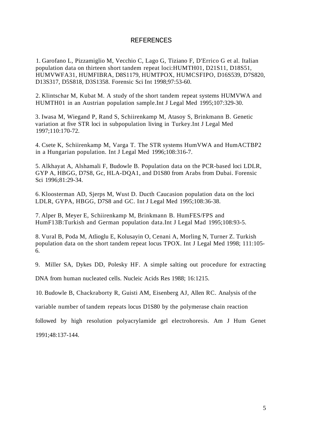### REFERENCES

1. Garofano L, Pizzamiglio M, Vecchio C, Lago G, Tiziano F, D'Errico G et al. Italian population data on thirteen short tandem repeat loci:HUMTH01, D21S11, D18S51, HUMVWFA31, HUMFIBRA, D8S1179, HUMTPOX, HUMCSFIPO, D16S539, D7S820, D13S317, D5S818, D3S1358. Forensic Sci Int 1998;97:53-60.

2. Klintschar M, Kubat M. A study of the short tandem repeat systems HUMVWA and HUMTH01 in an Austrian population sample.Int J Legal Med 1995;107:329-30.

3. Iwasa M, Wiegand P, Rand S, Schiirenkamp M, Atasoy S, Brinkmann B. Genetic variation at five STR loci in subpopulation living in Turkey.Int J Legal Med 1997;110:170-72.

4. Csete K, Schiirenkamp M, Varga T. The STR systems HumVWA and HumACTBP2 in a Hungarian population. Int J Legal Med 1996;108:316-7.

5. Alkhayat A, Alshamali F, Budowle B. Population data on the PCR-based loci LDLR, GYP A, HBGG, D7S8, Gc, HLA-DQA1, and D1S80 from Arabs from Dubai. Forensic Sci 1996;81:29-34.

6. Kloosterman AD, Sjerps M, Wust D. Ducth Caucasion population data on the loci LDLR, GYPA, HBGG, D7S8 and GC. Int J Legal Med 1995;108:36-38.

7. Alper B, Meyer E, Schiirenkamp M, Brinkmann B. HumFES/FPS and HumF13B:Turkish and German population data.Int J Legal Mad 1995;108:93-5.

8. Vural B, Poda M, Atlioglu E, Kolusayin O, Cenani A, Morling N, Turner Z. Turkish population data on the short tandem repeat locus TPOX. Int J Legal Med 1998; 111:105- 6.

9. Miller SA, Dykes DD, Polesky HF. A simple salting out procedure for extracting

DNA from human nucleated cells. Nucleic Acids Res 1988; 16:1215.

10. Budowle B, Chackraborty R, Guisti AM, Eisenberg AJ, Allen RC. Analysis of the

variable number of tandem repeats locus D1S80 by the polymerase chain reaction

followed by high resolution polyacrylamide gel electrohoresis. Am J Hum Genet 1991;48:137-144.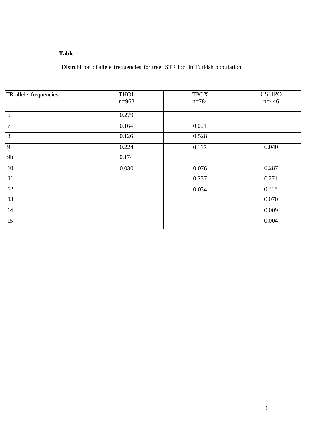## **Table 1**

Distrubition of allele frequencies for tree STR loci in Turkish population

| TR allele frequencies | <b>THO1</b><br>$n = 962$ | <b>TPOX</b><br>$n = 784$ | <b>CSFIPO</b><br>$n = 446$ |
|-----------------------|--------------------------|--------------------------|----------------------------|
| 6                     | 0.279                    |                          |                            |
| $\overline{7}$        | 0.164                    | 0.001                    |                            |
| 8                     | 0.126                    | 0.528                    |                            |
| 9                     | 0.224                    | 0.117                    | 0.040                      |
| 9 <sub>b</sub>        | 0.174                    |                          |                            |
| 10                    | 0.030                    | 0.076                    | 0.287                      |
| 11                    |                          | 0.237                    | 0.271                      |
| 12                    |                          | 0.034                    | 0.318                      |
| 13                    |                          |                          | 0.070                      |
| 14                    |                          |                          | 0.009                      |
| 15                    |                          |                          | 0.004                      |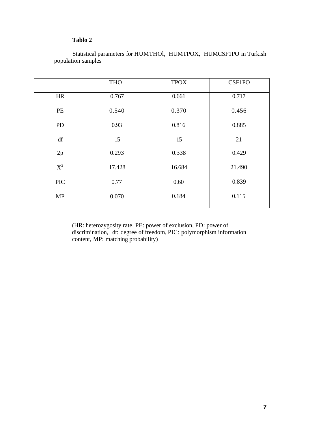# **Tablo 2**

|                        | <b>THO1</b> | <b>TPOX</b> | CSF1PO |
|------------------------|-------------|-------------|--------|
| <b>HR</b>              | 0.767       | 0.661       | 0.717  |
| PE                     | 0.540       | 0.370       | 0.456  |
| <b>PD</b>              | 0.93        | 0.816       | 0.885  |
| $\mathrm{d}\mathrm{f}$ | 15          | 15          | 21     |
| 2p                     | 0.293       | 0.338       | 0.429  |
| $X^2$                  | 17.428      | 16.684      | 21.490 |
| <b>PIC</b>             | 0.77        | 0.60        | 0.839  |
| <b>MP</b>              | 0.070       | 0.184       | 0.115  |

Statistical parameters for HUMTHOl, HUMTPOX, HUMCSF1PO in Turkish population samples

(HR: heterozygosity rate, PE: power of exclusion, PD: power of discrimination, df: degree of freedom, PIC: polymorphism information content, MP: matching probability)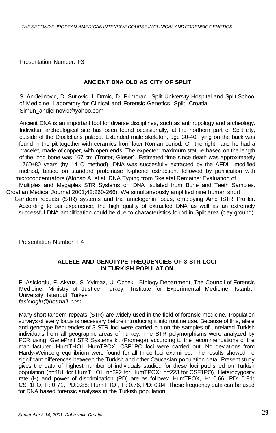Presentation Number: F3

#### **ANCIENT DNA OLD AS CITY OF SPLIT**

S. AnrJelinovic, D. Sutlovic, I. Drmic, D. Primorac. Split University Hospital and Split School of Medicine, Laboratory for Clinical and Forensic Genetics, Split, Croatia [Simun\\_andjelinovic@yahoo.com](mailto:Simun_andjelinovic@yahoo.com)

Ancient DNA is an important tool for diverse disciplines, such as anthropology and archeology. Individual archeological site has been found occasionally, at the northern part of Split city, outside of the Diocletians palace. Extended male skeleton, age 30-40, lying on the back was found in the pit together with ceramics from later Roman period. On the right hand he had a bracelet, made of copper, with open ends. The expected maximum stature based on the length of the long bone was 167 cm (Trotter, Gleser). Estimated time since death was approximately 1760±80 years (by 14 C method). DNA was succesfully extracted by the AFDIL modified method, based on standard proteinase K-phenol extraction, followed by purification with microconcentrators (Alonso A. et al. DNA Typing from Skeletal Remains: Evaluation of Multiplex and Megaplex STR Systems on DNA Isolated from Bone and Teeth Samples. Croatian Medical Journal 2001;42:260-266). We simultaneously amplified nine human short Gandem repeats (STR) systems and the amelogenin locus, employing AmpFISTR Profiler. According to our experience, the high quality of extracted DNA as well as an extremely successful DNA amplification could be due to characteristics found in Split area (clay ground).

Presentation Number: F4

#### **ALLELE AND GENOTYPE FREQUENCIES OF 3 STR LOCI IN TURKISH POPULATION**

F. Asicioglu, F. Akyuz, S. Yylmaz, U. Ozbek . Biology Department, The Council of Forensic Medicine, Ministry of Justice, Turkey, Institute for Experimental Medicine, Istanbul University, Istanbul, Turkey fasicioglu@hotmail. com

Many short tandem repeats (STR) are widely used in the field of forensic medicine. Population surveys of every locus is necessary before introducing it into routine use. Because of this, allele and genotype frequencies of 3 STR loci were carried out on the samples of unrelated Turkish individuals from all geographic areas of Turkey. The STR polymorphisms were analyzed by PCR using, GenePrint STR Systems kit (Promega) according to the recommendations of the manufacturer. HumTHOI, HumTPOX, CSF1PO loci were carried out. No deviations from Hardy-Weinberg equilibrium were found for all three loci examined. The results showed no significant differences between the Turkish and other Caucasian population data. Present study gives the data of highest number of individuals studied for these loci published on Turkish population (n=481 for HumTHOI; n=392 for HumTPOX; n=223 for CSF1PO). Heterozygosity rate (H) and power of discrimination (PD) are as follows: HumTPOX, H: 0.66, PD: 0.81; CSF1PO, H: 0.71, PD:0.88; HumTHOI, H: 0.76, PD: 0.84. These frequency data can be used for DNA based forensic analyses in the Turkish population.